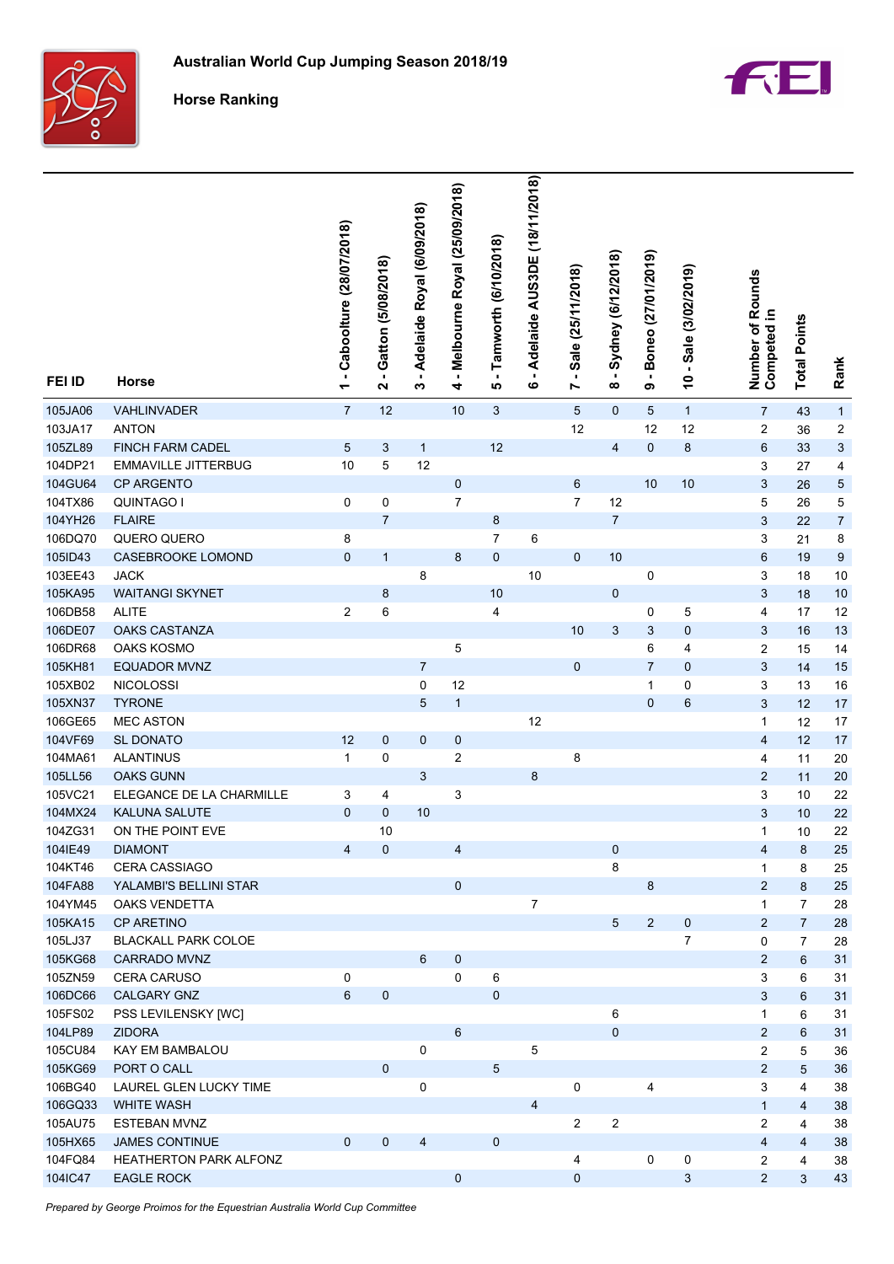

**Horse Ranking**



| FEI ID  | Horse                      | - Caboolture (28/07/2018)<br>$\overline{\phantom{0}}$ | Gatton (5/08/2018)<br>N | - Adelaide Royal (6/09/2018)<br>ω | - Melbourne Royal (25/09/2018)<br>4 | - Tamworth (6/10/2018)<br>ιΩ | Adelaide AUS3DE (18/11/2018)<br>$\blacksquare$<br>ဖ | $-$ Sale (25/11/2018)<br>Z | - Sydney (6/12/2018)<br>$\infty$ | - Boneo (27/01/2019)<br>თ | $-$ Sale (3/02/2019)<br>$\overline{\phantom{0}}$ | Number of Rounds<br>Competed in | <b>Total Points</b> | Rank           |
|---------|----------------------------|-------------------------------------------------------|-------------------------|-----------------------------------|-------------------------------------|------------------------------|-----------------------------------------------------|----------------------------|----------------------------------|---------------------------|--------------------------------------------------|---------------------------------|---------------------|----------------|
| 105JA06 | VAHLINVADER                | $\overline{7}$                                        | 12                      |                                   | 10                                  | $\ensuremath{\mathsf{3}}$    |                                                     | $\overline{5}$             | $\mathbf 0$                      | $\sqrt{5}$                | $\mathbf{1}$                                     | $\overline{7}$                  | 43                  | $\mathbf{1}$   |
| 103JA17 | <b>ANTON</b>               |                                                       |                         |                                   |                                     |                              |                                                     | 12                         |                                  | 12                        | 12                                               | 2                               | 36                  | 2              |
| 105ZL89 | FINCH FARM CADEL           | 5                                                     | 3                       | $\mathbf{1}$                      |                                     | 12                           |                                                     |                            | $\overline{\mathbf{4}}$          | $\pmb{0}$                 | $\bf 8$                                          | 6                               | 33                  | 3              |
| 104DP21 | <b>EMMAVILLE JITTERBUG</b> | 10                                                    | 5                       | 12                                |                                     |                              |                                                     |                            |                                  |                           |                                                  | 3                               | 27                  | 4              |
| 104GU64 | CP ARGENTO                 |                                                       |                         |                                   | $\pmb{0}$                           |                              |                                                     | 6                          |                                  | 10                        | 10                                               | 3                               | 26                  | 5              |
| 104TX86 | <b>QUINTAGO I</b>          | 0                                                     | 0                       |                                   | $\overline{7}$                      |                              |                                                     | $\overline{7}$             | 12                               |                           |                                                  | 5                               | 26                  | 5              |
| 104YH26 | <b>FLAIRE</b>              |                                                       | $\overline{7}$          |                                   |                                     | 8                            |                                                     |                            | $\boldsymbol{7}$                 |                           |                                                  | 3                               | 22                  | $\overline{7}$ |
| 106DQ70 | QUERO QUERO                | 8                                                     |                         |                                   |                                     | $\overline{7}$               | 6                                                   |                            |                                  |                           |                                                  | 3                               | 21                  | 8              |
| 105ID43 | CASEBROOKE LOMOND          | $\pmb{0}$                                             | $\mathbf{1}$            |                                   | 8                                   | $\mathbf 0$                  |                                                     | $\mathbf 0$                | 10                               |                           |                                                  | 6                               | 19                  | 9              |
| 103EE43 | <b>JACK</b>                |                                                       |                         | 8                                 |                                     |                              | 10                                                  |                            |                                  | 0                         |                                                  | 3                               | 18                  | 10             |
| 105KA95 | <b>WAITANGI SKYNET</b>     |                                                       | 8                       |                                   |                                     | $10$                         |                                                     |                            | $\pmb{0}$                        |                           |                                                  | 3                               | 18                  | 10             |
| 106DB58 | <b>ALITE</b>               | 2                                                     | $\,6$                   |                                   |                                     | 4                            |                                                     |                            |                                  | 0                         | 5                                                | 4                               | 17                  | 12             |
| 106DE07 | <b>OAKS CASTANZA</b>       |                                                       |                         |                                   |                                     |                              |                                                     | 10                         | 3                                | 3                         | 0                                                | 3                               | 16                  | 13             |
| 106DR68 | <b>OAKS KOSMO</b>          |                                                       |                         |                                   | 5                                   |                              |                                                     |                            |                                  | 6                         | 4                                                | 2                               | 15                  | 14             |
| 105KH81 | EQUADOR MVNZ               |                                                       |                         | $\overline{7}$                    |                                     |                              |                                                     | $\mathbf 0$                |                                  | $\overline{7}$            | 0                                                | 3                               | 14                  | 15             |
| 105XB02 | <b>NICOLOSSI</b>           |                                                       |                         | 0                                 | 12                                  |                              |                                                     |                            |                                  | 1                         | 0                                                | 3                               | 13                  | 16             |
| 105XN37 | <b>TYRONE</b>              |                                                       |                         | $\sqrt{5}$                        | $\mathbf{1}$                        |                              |                                                     |                            |                                  | $\mathbf 0$               | 6                                                | 3                               | 12                  | 17             |
| 106GE65 | <b>MEC ASTON</b>           |                                                       |                         |                                   |                                     |                              | 12                                                  |                            |                                  |                           |                                                  | $\mathbf{1}$                    | 12                  | 17             |
| 104VF69 | SL DONATO                  | 12                                                    | $\pmb{0}$               | $\mathbf 0$                       | $\pmb{0}$                           |                              |                                                     |                            |                                  |                           |                                                  | 4                               | 12                  | 17             |
| 104MA61 | <b>ALANTINUS</b>           | $\mathbf{1}$                                          | 0                       |                                   | 2                                   |                              |                                                     | 8                          |                                  |                           |                                                  | 4                               | 11                  | 20             |
| 105LL56 | <b>OAKS GUNN</b>           |                                                       |                         | 3                                 |                                     |                              | 8                                                   |                            |                                  |                           |                                                  | $\overline{2}$                  | 11                  | 20             |
| 105VC21 | ELEGANCE DE LA CHARMILLE   | 3                                                     | 4                       |                                   | 3                                   |                              |                                                     |                            |                                  |                           |                                                  | 3                               | 10                  | 22             |
| 104MX24 | KALUNA SALUTE              | 0                                                     | 0                       | 10                                |                                     |                              |                                                     |                            |                                  |                           |                                                  | 3                               | 10                  | 22             |
| 104ZG31 | ON THE POINT EVE           |                                                       | 10                      |                                   |                                     |                              |                                                     |                            |                                  |                           |                                                  | $\mathbf{1}$                    | 10                  | 22             |
| 104IE49 | <b>DIAMONT</b>             | 4                                                     | $\pmb{0}$               |                                   | 4                                   |                              |                                                     |                            | 0                                |                           |                                                  | 4                               | $\bf 8$             | 25             |
| 104KT46 | <b>CERA CASSIAGO</b>       |                                                       |                         |                                   |                                     |                              |                                                     |                            | 8                                |                           |                                                  | 1                               | 8                   | 25             |
| 104FA88 | YALAMBI'S BELLINI STAR     |                                                       |                         |                                   | $\pmb{0}$                           |                              |                                                     |                            |                                  | 8                         |                                                  | $\overline{2}$                  | $\bf 8$             | 25             |
| 104YM45 | <b>OAKS VENDETTA</b>       |                                                       |                         |                                   |                                     |                              | $\overline{7}$                                      |                            |                                  |                           |                                                  | $\mathbf{1}$                    | $\overline{7}$      | 28             |
| 105KA15 | <b>CP ARETINO</b>          |                                                       |                         |                                   |                                     |                              |                                                     |                            | 5                                | $\overline{c}$            | $\pmb{0}$                                        | $\overline{2}$                  | $\boldsymbol{7}$    | 28             |
| 105LJ37 | <b>BLACKALL PARK COLOE</b> |                                                       |                         |                                   |                                     |                              |                                                     |                            |                                  |                           | 7                                                | 0                               | $\overline{7}$      | 28             |
| 105KG68 | CARRADO MVNZ               |                                                       |                         | 6                                 | $\pmb{0}$                           |                              |                                                     |                            |                                  |                           |                                                  | $\overline{c}$                  | $\,6$               | 31             |
| 105ZN59 | CERA CARUSO                | 0                                                     |                         |                                   | 0                                   | 6                            |                                                     |                            |                                  |                           |                                                  | 3                               | 6                   | 31             |
| 106DC66 | CALGARY GNZ                | 6                                                     | $\pmb{0}$               |                                   |                                     | $\pmb{0}$                    |                                                     |                            |                                  |                           |                                                  | 3                               | $\,6$               | 31             |
| 105FS02 | PSS LEVILENSKY [WC]        |                                                       |                         |                                   |                                     |                              |                                                     |                            | 6                                |                           |                                                  | $\mathbf{1}$                    | 6                   | 31             |
| 104LP89 | <b>ZIDORA</b>              |                                                       |                         |                                   | 6                                   |                              |                                                     |                            | $\pmb{0}$                        |                           |                                                  | $\overline{c}$                  | $\,6\,$             | 31             |
| 105CU84 | KAY EM BAMBALOU            |                                                       |                         | 0                                 |                                     |                              | 5                                                   |                            |                                  |                           |                                                  | 2                               | 5                   | 36             |
| 105KG69 | PORT O CALL                |                                                       | $\pmb{0}$               |                                   |                                     | 5                            |                                                     |                            |                                  |                           |                                                  | $\overline{2}$                  | $\sqrt{5}$          | 36             |
| 106BG40 | LAUREL GLEN LUCKY TIME     |                                                       |                         | 0                                 |                                     |                              |                                                     | 0                          |                                  | 4                         |                                                  | 3                               | 4                   | 38             |
| 106GQ33 | <b>WHITE WASH</b>          |                                                       |                         |                                   |                                     |                              | 4                                                   |                            |                                  |                           |                                                  | $\mathbf{1}$                    | 4                   | 38             |
| 105AU75 | <b>ESTEBAN MVNZ</b>        |                                                       |                         |                                   |                                     |                              |                                                     | $\overline{c}$             | $\boldsymbol{2}$                 |                           |                                                  | 2                               | 4                   | 38             |
| 105HX65 | <b>JAMES CONTINUE</b>      | $\mathbf 0$                                           | $\mathbf 0$             | 4                                 |                                     | $\mathbf 0$                  |                                                     |                            |                                  |                           |                                                  | 4                               | 4                   | 38             |
| 104FQ84 | HEATHERTON PARK ALFONZ     |                                                       |                         |                                   |                                     |                              |                                                     | 4                          |                                  | 0                         | 0                                                | 2                               | 4                   | 38             |
| 104IC47 | <b>EAGLE ROCK</b>          |                                                       |                         |                                   | 0                                   |                              |                                                     | $\boldsymbol{0}$           |                                  |                           | 3                                                | $\overline{c}$                  | 3                   | 43             |

*Prepared by George Proimos for the Equestrian Australia World Cup Committee*